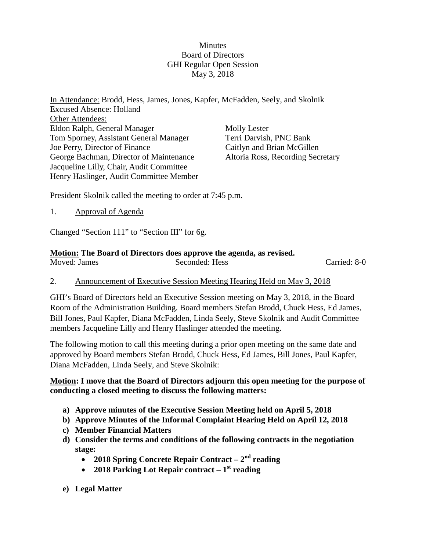## Minutes Board of Directors GHI Regular Open Session May 3, 2018

In Attendance: Brodd, Hess, James, Jones, Kapfer, McFadden, Seely, and Skolnik Excused Absence: Holland Other Attendees: Eldon Ralph, General Manager Tom Sporney, Assistant General Manager Joe Perry, Director of Finance George Bachman, Director of Maintenance Jacqueline Lilly, Chair, Audit Committee Henry Haslinger, Audit Committee Member Molly Lester Terri Darvish, PNC Bank Caitlyn and Brian McGillen Altoria Ross, Recording Secretary

President Skolnik called the meeting to order at 7:45 p.m.

1. Approval of Agenda

Changed "Section 111" to "Section III" for 6g.

### **Motion: The Board of Directors does approve the agenda, as revised.**

| Moved: James | Seconded: Hess | Carried: 8-0 |
|--------------|----------------|--------------|

#### 2. Announcement of Executive Session Meeting Hearing Held on May 3, 2018

GHI's Board of Directors held an Executive Session meeting on May 3, 2018, in the Board Room of the Administration Building. Board members Stefan Brodd, Chuck Hess, Ed James, Bill Jones, Paul Kapfer, Diana McFadden, Linda Seely, Steve Skolnik and Audit Committee members Jacqueline Lilly and Henry Haslinger attended the meeting.

The following motion to call this meeting during a prior open meeting on the same date and approved by Board members Stefan Brodd, Chuck Hess, Ed James, Bill Jones, Paul Kapfer, Diana McFadden, Linda Seely, and Steve Skolnik:

### **Motion: I move that the Board of Directors adjourn this open meeting for the purpose of conducting a closed meeting to discuss the following matters:**

- **a) Approve minutes of the Executive Session Meeting held on April 5, 2018**
- **b) Approve Minutes of the Informal Complaint Hearing Held on April 12, 2018**
- **c) Member Financial Matters**
- **d) Consider the terms and conditions of the following contracts in the negotiation stage:**
	- **2018 Spring Concrete Repair Contract – 2nd reading**
	- **2018 Parking Lot Repair contract – 1st reading**
- **e) Legal Matter**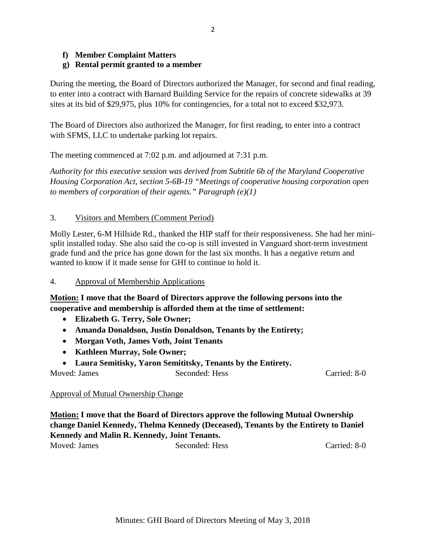## **f) Member Complaint Matters**

## **g) Rental permit granted to a member**

During the meeting, the Board of Directors authorized the Manager, for second and final reading, to enter into a contract with Barnard Building Service for the repairs of concrete sidewalks at 39 sites at its bid of \$29,975, plus 10% for contingencies, for a total not to exceed \$32,973.

The Board of Directors also authorized the Manager, for first reading, to enter into a contract with SFMS, LLC to undertake parking lot repairs.

The meeting commenced at 7:02 p.m. and adjourned at 7:31 p.m.

*Authority for this executive session was derived from Subtitle 6b of the Maryland Cooperative Housing Corporation Act, section 5-6B-19 "Meetings of cooperative housing corporation open to members of corporation of their agents." Paragraph (e)(1)*

### 3. Visitors and Members (Comment Period)

Molly Lester, 6-M Hillside Rd., thanked the HIP staff for their responsiveness. She had her minisplit installed today. She also said the co-op is still invested in Vanguard short-term investment grade fund and the price has gone down for the last six months. It has a negative return and wanted to know if it made sense for GHI to continue to hold it.

#### 4. Approval of Membership Applications

**Motion: I move that the Board of Directors approve the following persons into the cooperative and membership is afforded them at the time of settlement:**

- **Elizabeth G. Terry, Sole Owner;**
- **Amanda Donaldson, Justin Donaldson, Tenants by the Entirety;**
- **Morgan Voth, James Voth, Joint Tenants**
- **Kathleen Murray, Sole Owner;**
- **Laura Semitisky, Yaron Semititsky, Tenants by the Entirety.**

Moved: James Seconded: Hess Carried: 8-0

#### Approval of Mutual Ownership Change

**Motion: I move that the Board of Directors approve the following Mutual Ownership change Daniel Kennedy, Thelma Kennedy (Deceased), Tenants by the Entirety to Daniel Kennedy and Malin R. Kennedy, Joint Tenants.**

Moved: James Seconded: Hess Carried: 8-0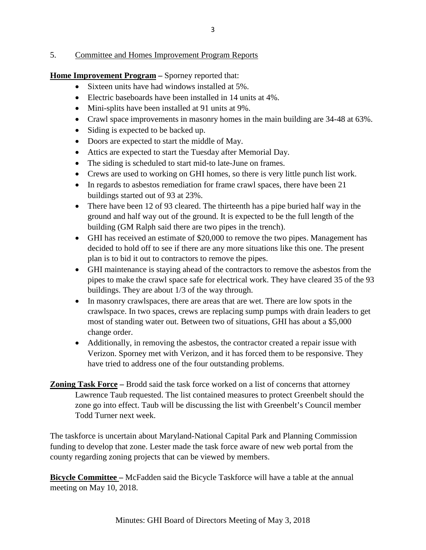## 5. Committee and Homes Improvement Program Reports

**Home Improvement Program** – Sporney reported that:

- Sixteen units have had windows installed at 5%.
- Electric baseboards have been installed in 14 units at 4%.
- Mini-splits have been installed at 91 units at 9%.
- Crawl space improvements in masonry homes in the main building are 34-48 at 63%.
- Siding is expected to be backed up.
- Doors are expected to start the middle of May.
- Attics are expected to start the Tuesday after Memorial Day.
- The siding is scheduled to start mid-to late-June on frames.
- Crews are used to working on GHI homes, so there is very little punch list work.
- In regards to asbestos remediation for frame crawl spaces, there have been 21 buildings started out of 93 at 23%.
- There have been 12 of 93 cleared. The thirteenth has a pipe buried half way in the ground and half way out of the ground. It is expected to be the full length of the building (GM Ralph said there are two pipes in the trench).
- GHI has received an estimate of \$20,000 to remove the two pipes. Management has decided to hold off to see if there are any more situations like this one. The present plan is to bid it out to contractors to remove the pipes.
- GHI maintenance is staying ahead of the contractors to remove the asbestos from the pipes to make the crawl space safe for electrical work. They have cleared 35 of the 93 buildings. They are about 1/3 of the way through.
- In masonry crawlspaces, there are areas that are wet. There are low spots in the crawlspace. In two spaces, crews are replacing sump pumps with drain leaders to get most of standing water out. Between two of situations, GHI has about a \$5,000 change order.
- Additionally, in removing the asbestos, the contractor created a repair issue with Verizon. Sporney met with Verizon, and it has forced them to be responsive. They have tried to address one of the four outstanding problems.
- **Zoning Task Force –** Brodd said the task force worked on a list of concerns that attorney Lawrence Taub requested. The list contained measures to protect Greenbelt should the zone go into effect. Taub will be discussing the list with Greenbelt's Council member Todd Turner next week.

The taskforce is uncertain about Maryland-National Capital Park and Planning Commission funding to develop that zone. Lester made the task force aware of new web portal from the county regarding zoning projects that can be viewed by members.

**Bicycle Committee –** McFadden said the Bicycle Taskforce will have a table at the annual meeting on May 10, 2018.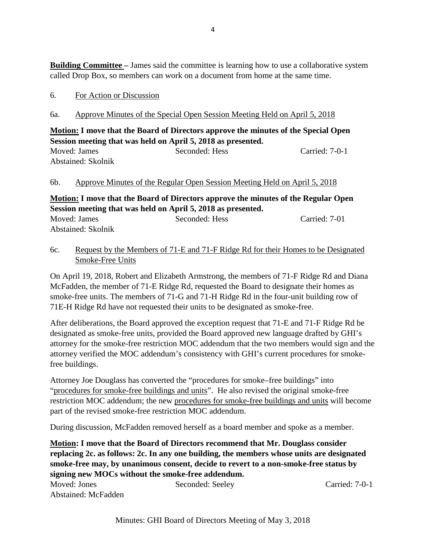**Building Committee** – James said the committee is learning how to use a collaborative system called Drop Box, so members can work on a document from home at the same time.

#### 6. For Action or Discussion

### 6a. Approve Minutes of the Special Open Session Meeting Held on April 5, 2018

## **Motion: I move that the Board of Directors approve the minutes of the Special Open Session meeting that was held on April 5, 2018 as presented.**

Moved: James Seconded: Hess Carried: 7-0-1 Abstained: Skolnik

#### 6b. Approve Minutes of the Regular Open Session Meeting Held on April 5, 2018

**Motion: I move that the Board of Directors approve the minutes of the Regular Open Session meeting that was held on April 5, 2018 as presented.**

| Moved: James       | Seconded: Hess | Carried: 7-01 |
|--------------------|----------------|---------------|
| Abstained: Skolnik |                |               |

## 6c. Request by the Members of 71-E and 71-F Ridge Rd for their Homes to be Designated Smoke-Free Units

On April 19, 2018, Robert and Elizabeth Armstrong, the members of 71-F Ridge Rd and Diana McFadden, the member of 71-E Ridge Rd, requested the Board to designate their homes as smoke-free units. The members of 71-G and 71-H Ridge Rd in the four-unit building row of 71E-H Ridge Rd have not requested their units to be designated as smoke-free.

After deliberations, the Board approved the exception request that 71-E and 71-F Ridge Rd be designated as smoke-free units, provided the Board approved new language drafted by GHI's attorney for the smoke-free restriction MOC addendum that the two members would sign and the attorney verified the MOC addendum's consistency with GHI's current procedures for smokefree buildings.

Attorney Joe Douglass has converted the "procedures for smoke–free buildings" into "procedures for smoke-free buildings and units". He also revised the original smoke-free restriction MOC addendum; the new procedures for smoke-free buildings and units will become part of the revised smoke-free restriction MOC addendum.

During discussion, McFadden removed herself as a board member and spoke as a member.

**Motion: I move that the Board of Directors recommend that Mr. Douglass consider replacing 2c. as follows: 2c. In any one building, the members whose units are designated smoke-free may, by unanimous consent, decide to revert to a non-smoke-free status by signing new MOCs without the smoke-free addendum.**

Moved: Jones Seconded: Seeley Carried: 7-0-1 Abstained: McFadden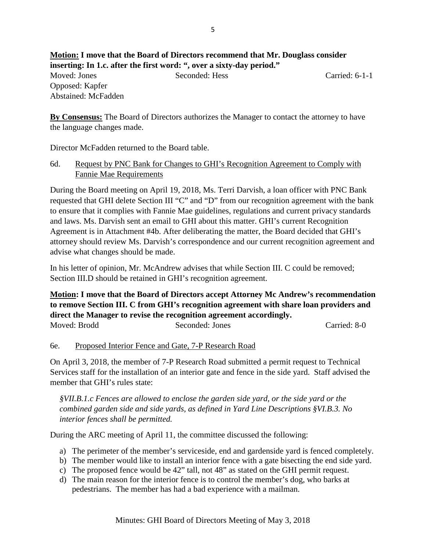**Motion: I move that the Board of Directors recommend that Mr. Douglass consider inserting: In 1.c. after the first word: ", over a sixty-day period."** Moved: Jones Seconded: Hess Carried: 6-1-1 Opposed: Kapfer Abstained: McFadden

**By Consensus:** The Board of Directors authorizes the Manager to contact the attorney to have the language changes made.

Director McFadden returned to the Board table.

6d. Request by PNC Bank for Changes to GHI's Recognition Agreement to Comply with Fannie Mae Requirements

During the Board meeting on April 19, 2018, Ms. Terri Darvish, a loan officer with PNC Bank requested that GHI delete Section III "C" and "D" from our recognition agreement with the bank to ensure that it complies with Fannie Mae guidelines, regulations and current privacy standards and laws. Ms. Darvish sent an email to GHI about this matter. GHI's current Recognition Agreement is in Attachment #4b. After deliberating the matter, the Board decided that GHI's attorney should review Ms. Darvish's correspondence and our current recognition agreement and advise what changes should be made.

In his letter of opinion, Mr. McAndrew advises that while Section III. C could be removed; Section III.D should be retained in GHI's recognition agreement.

**Motion: I move that the Board of Directors accept Attorney Mc Andrew's recommendation to remove Section III. C from GHI's recognition agreement with share loan providers and direct the Manager to revise the recognition agreement accordingly.** Moved: Brodd Seconded: Jones Carried: 8-0

#### 6e. Proposed Interior Fence and Gate, 7-P Research Road

On April 3, 2018, the member of 7-P Research Road submitted a permit request to Technical Services staff for the installation of an interior gate and fence in the side yard. Staff advised the member that GHI's rules state:

*§VII.B.1.c Fences are allowed to enclose the garden side yard, or the side yard or the combined garden side and side yards, as defined in Yard Line Descriptions §VI.B.3. No interior fences shall be permitted.*

During the ARC meeting of April 11, the committee discussed the following:

- a) The perimeter of the member's serviceside, end and gardenside yard is fenced completely.
- b) The member would like to install an interior fence with a gate bisecting the end side yard.
- c) The proposed fence would be 42" tall, not 48" as stated on the GHI permit request.
- d) The main reason for the interior fence is to control the member's dog, who barks at pedestrians. The member has had a bad experience with a mailman.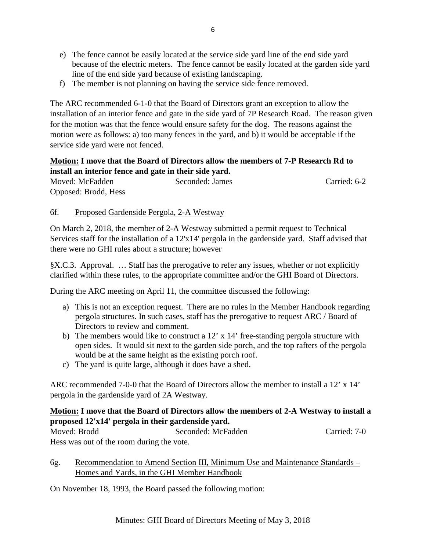- e) The fence cannot be easily located at the service side yard line of the end side yard because of the electric meters. The fence cannot be easily located at the garden side yard line of the end side yard because of existing landscaping.
- f) The member is not planning on having the service side fence removed.

The ARC recommended 6-1-0 that the Board of Directors grant an exception to allow the installation of an interior fence and gate in the side yard of 7P Research Road. The reason given for the motion was that the fence would ensure safety for the dog. The reasons against the motion were as follows: a) too many fences in the yard, and b) it would be acceptable if the service side yard were not fenced.

## **Motion: I move that the Board of Directors allow the members of 7-P Research Rd to install an interior fence and gate in their side yard.**

Moved: McFadden Seconded: James Carried: 6-2 Opposed: Brodd, Hess

## 6f. Proposed Gardenside Pergola, 2-A Westway

On March 2, 2018, the member of 2-A Westway submitted a permit request to Technical Services staff for the installation of a 12'x14' pergola in the gardenside yard. Staff advised that there were no GHI rules about a structure; however

§X.C.3. Approval. … Staff has the prerogative to refer any issues, whether or not explicitly clarified within these rules, to the appropriate committee and/or the GHI Board of Directors.

During the ARC meeting on April 11, the committee discussed the following:

- a) This is not an exception request. There are no rules in the Member Handbook regarding pergola structures. In such cases, staff has the prerogative to request ARC / Board of Directors to review and comment.
- b) The members would like to construct a 12' x 14' free-standing pergola structure with open sides. It would sit next to the garden side porch, and the top rafters of the pergola would be at the same height as the existing porch roof.
- c) The yard is quite large, although it does have a shed.

ARC recommended 7-0-0 that the Board of Directors allow the member to install a 12' x 14' pergola in the gardenside yard of 2A Westway.

## **Motion: I move that the Board of Directors allow the members of 2-A Westway to install a proposed 12'x14' pergola in their gardenside yard.**

Moved: Brodd Seconded: McFadden Carried: 7-0 Hess was out of the room during the vote.

6g. Recommendation to Amend Section III, Minimum Use and Maintenance Standards – Homes and Yards, in the GHI Member Handbook

On November 18, 1993, the Board passed the following motion: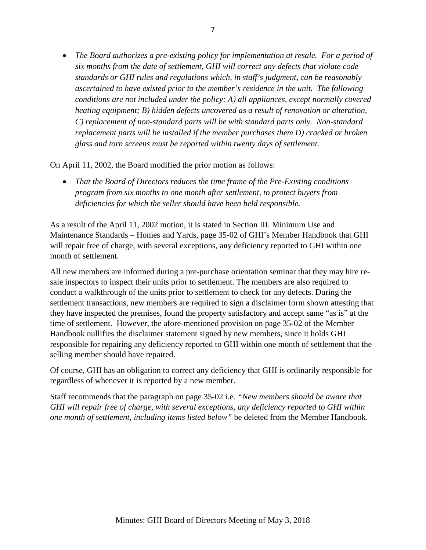• *The Board authorizes a pre-existing policy for implementation at resale. For a period of six months from the date of settlement, GHI will correct any defects that violate code standards or GHI rules and regulations which, in staff's judgment, can be reasonably ascertained to have existed prior to the member's residence in the unit. The following conditions are not included under the policy: A) all appliances, except normally covered heating equipment; B) hidden defects uncovered as a result of renovation or alteration, C) replacement of non-standard parts will be with standard parts only. Non-standard replacement parts will be installed if the member purchases them D) cracked or broken glass and torn screens must be reported within twenty days of settlement.*

On April 11, 2002, the Board modified the prior motion as follows:

• *That the Board of Directors reduces the time frame of the Pre-Existing conditions program from six months to one month after settlement, to protect buyers from deficiencies for which the seller should have been held responsible.*

As a result of the April 11, 2002 motion, it is stated in Section III. Minimum Use and Maintenance Standards – Homes and Yards, page 35-02 of GHI's Member Handbook that GHI will repair free of charge, with several exceptions, any deficiency reported to GHI within one month of settlement.

All new members are informed during a pre-purchase orientation seminar that they may hire resale inspectors to inspect their units prior to settlement. The members are also required to conduct a walkthrough of the units prior to settlement to check for any defects. During the settlement transactions, new members are required to sign a disclaimer form shown attesting that they have inspected the premises, found the property satisfactory and accept same "as is" at the time of settlement. However, the afore-mentioned provision on page 35-02 of the Member Handbook nullifies the disclaimer statement signed by new members, since it holds GHI responsible for repairing any deficiency reported to GHI within one month of settlement that the selling member should have repaired.

Of course, GHI has an obligation to correct any deficiency that GHI is ordinarily responsible for regardless of whenever it is reported by a new member.

Staff recommends that the paragraph on page 35-02 i.e. *"New members should be aware that GHI will repair free of charge, with several exceptions, any deficiency reported to GHI within one month of settlement, including items listed below"* be deleted from the Member Handbook.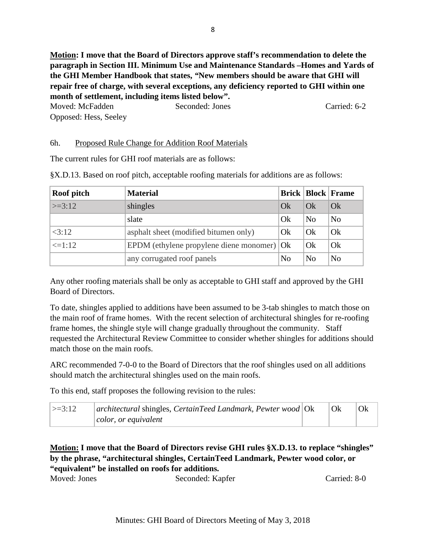**Motion: I move that the Board of Directors approve staff's recommendation to delete the paragraph in Section III. Minimum Use and Maintenance Standards –Homes and Yards of the GHI Member Handbook that states,** *"***New members should be aware that GHI will repair free of charge, with several exceptions, any deficiency reported to GHI within one month of settlement, including items listed below".**

Moved: McFadden Seconded: Jones Carried: 6-2 Opposed: Hess, Seeley

## 6h. Proposed Rule Change for Addition Roof Materials

The current rules for GHI roof materials are as follows:

| Roof pitch    | <b>Material</b>                                    |                |                | <b>Brick   Block   Frame</b> |
|---------------|----------------------------------------------------|----------------|----------------|------------------------------|
| $\geq$ = 3:12 | shingles                                           | Ok             | Qk             | Qk                           |
|               | slate                                              | Ok             | N <sub>o</sub> | N <sub>o</sub>               |
| <3:12         | asphalt sheet (modified bitumen only)              | Ok             | Ok             | Ok                           |
| $\leq$ =1:12  | EPDM (ethylene propylene diene monomer) $\vert$ Ok |                | Ok             | Ok                           |
|               | any corrugated roof panels                         | N <sub>0</sub> | N <sub>o</sub> | N <sub>o</sub>               |

§X.D.13. Based on roof pitch, acceptable roofing materials for additions are as follows:

Any other roofing materials shall be only as acceptable to GHI staff and approved by the GHI Board of Directors.

To date, shingles applied to additions have been assumed to be 3-tab shingles to match those on the main roof of frame homes. With the recent selection of architectural shingles for re-roofing frame homes, the shingle style will change gradually throughout the community. Staff requested the Architectural Review Committee to consider whether shingles for additions should match those on the main roofs.

ARC recommended 7-0-0 to the Board of Directors that the roof shingles used on all additions should match the architectural shingles used on the main roofs.

To this end, staff proposes the following revision to the rules:

| $ >=3:12$ | $ architectural$ shingles, CertainTeed Landmark, Pewter wood $ Ok $ | Ok |  |
|-----------|---------------------------------------------------------------------|----|--|
|           | $ color,$ or equivalent                                             |    |  |

## **Motion: I move that the Board of Directors revise GHI rules §X.D.13. to replace "shingles" by the phrase, "architectural shingles, CertainTeed Landmark, Pewter wood color, or "equivalent" be installed on roofs for additions.**

Moved: Jones Seconded: Kapfer Carried: 8-0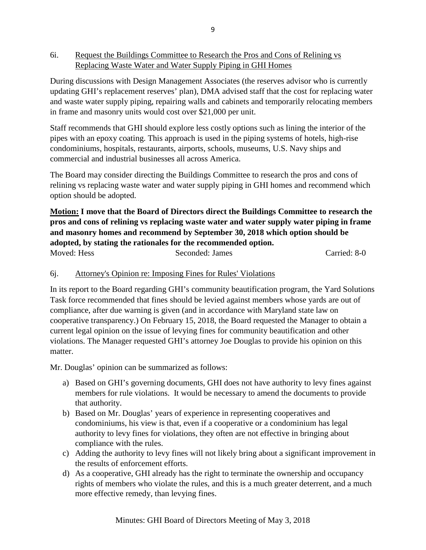6i. Request the Buildings Committee to Research the Pros and Cons of Relining vs Replacing Waste Water and Water Supply Piping in GHI Homes

During discussions with Design Management Associates (the reserves advisor who is currently updating GHI's replacement reserves' plan), DMA advised staff that the cost for replacing water and waste water supply piping, repairing walls and cabinets and temporarily relocating members in frame and masonry units would cost over \$21,000 per unit.

Staff recommends that GHI should explore less costly options such as lining the interior of the pipes with an epoxy coating. This approach is used in the piping systems of hotels, high-rise condominiums, hospitals, restaurants, airports, schools, museums, U.S. Navy ships and commercial and industrial businesses all across America.

The Board may consider directing the Buildings Committee to research the pros and cons of relining vs replacing waste water and water supply piping in GHI homes and recommend which option should be adopted.

**Motion: I move that the Board of Directors direct the Buildings Committee to research the pros and cons of relining vs replacing waste water and water supply water piping in frame and masonry homes and recommend by September 30, 2018 which option should be adopted, by stating the rationales for the recommended option.** Moved: Hess Seconded: James Carried: 8-0

## 6j. Attorney's Opinion re: Imposing Fines for Rules' Violations

In its report to the Board regarding GHI's community beautification program, the Yard Solutions Task force recommended that fines should be levied against members whose yards are out of compliance, after due warning is given (and in accordance with Maryland state law on cooperative transparency.) On February 15, 2018, the Board requested the Manager to obtain a current legal opinion on the issue of levying fines for community beautification and other violations. The Manager requested GHI's attorney Joe Douglas to provide his opinion on this matter.

Mr. Douglas' opinion can be summarized as follows:

- a) Based on GHI's governing documents, GHI does not have authority to levy fines against members for rule violations. It would be necessary to amend the documents to provide that authority.
- b) Based on Mr. Douglas' years of experience in representing cooperatives and condominiums, his view is that, even if a cooperative or a condominium has legal authority to levy fines for violations, they often are not effective in bringing about compliance with the rules.
- c) Adding the authority to levy fines will not likely bring about a significant improvement in the results of enforcement efforts.
- d) As a cooperative, GHI already has the right to terminate the ownership and occupancy rights of members who violate the rules, and this is a much greater deterrent, and a much more effective remedy, than levying fines.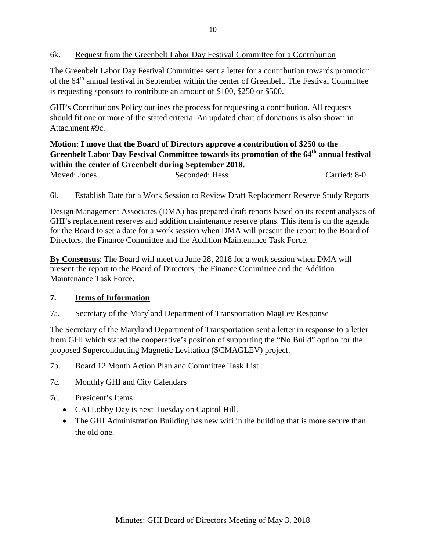## 6k. Request from the Greenbelt Labor Day Festival Committee for a Contribution

The Greenbelt Labor Day Festival Committee sent a letter for a contribution towards promotion of the 64<sup>th</sup> annual festival in September within the center of Greenbelt. The Festival Committee is requesting sponsors to contribute an amount of \$100, \$250 or \$500.

GHI's Contributions Policy outlines the process for requesting a contribution. All requests should fit one or more of the stated criteria. An updated chart of donations is also shown in Attachment #9c.

# **Motion: I move that the Board of Directors approve a contribution of \$250 to the**  Greenbelt Labor Day Festival Committee towards its promotion of the 64<sup>th</sup> annual festival **within the center of Greenbelt during September 2018.**

Moved: Jones Seconded: Hess Carried: 8-0

### 6l. Establish Date for a Work Session to Review Draft Replacement Reserve Study Reports

Design Management Associates (DMA) has prepared draft reports based on its recent analyses of GHI's replacement reserves and addition maintenance reserve plans. This item is on the agenda for the Board to set a date for a work session when DMA will present the report to the Board of Directors, the Finance Committee and the Addition Maintenance Task Force.

**By Consensus**: The Board will meet on June 28, 2018 for a work session when DMA will present the report to the Board of Directors, the Finance Committee and the Addition Maintenance Task Force.

## **7. Items of Information**

7a. Secretary of the Maryland Department of Transportation MagLev Response

The Secretary of the Maryland Department of Transportation sent a letter in response to a letter from GHI which stated the cooperative's position of supporting the "No Build" option for the proposed Superconducting Magnetic Levitation (SCMAGLEV) project.

- 7b. Board 12 Month Action Plan and Committee Task List
- 7c. Monthly GHI and City Calendars
- 7d. President's Items
	- CAI Lobby Day is next Tuesday on Capitol Hill.
	- The GHI Administration Building has new wifi in the building that is more secure than the old one.